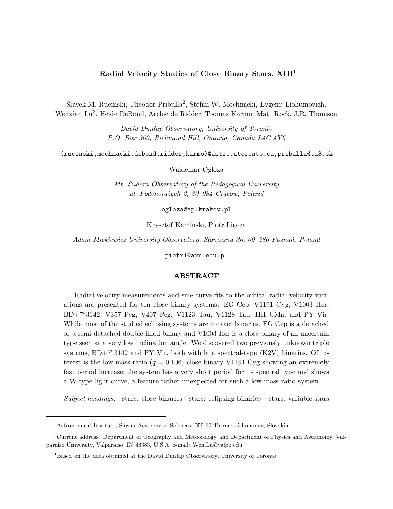## **Radial Velocity Studies of Close Binary Stars. XIII**<sup>1</sup>

Slavek M. Rucinski, Theodor Pribulla2, Stefan W. Mochnacki, Evgenij Liokumovich, Wenxian Lu3, Heide DeBond, Archie de Ridder, Toomas Karmo, Matt Rock, J.R. Thomson

> *David Dunlap Observatory, University of Toronto P.O. Box 360, Richmond Hill, Ontario, Canada L4C 4Y6*

(rucinski,mochnacki,debond,ridder,karmo)@astro.utoronto.ca,pribulla@ta3.sk

Waldemar Ogłoza

*Mt. Suhora Observatory of the Pedagogical University ul. Podchora˙zych 2, 30–084 Cracow, Poland*

ogloza@ap.krakow.pl

Krysztof Kaminski, Piotr Ligeza

Adam Mickiewicz University Observatory, Słoneczna 36, 60–286 Poznań, Poland

piotrl@amu.edu.pl

Radial-velocity measurements and sine-curve fits to the orbital radial velocity variations are presented for ten close binary systems: EG Cep, V1191 Cyg, V1003 Her, BD+7◦3142, V357 Peg, V407 Peg, V1123 Tau, V1128 Tau, HH UMa, and PY Vir. While most of the studied eclipsing systems are contact binaries, EG Cep is a detached or a semi-detached double-lined binary and V1003 Her is a close binary of an uncertain type seen at a very low inclination angle. We discovered two previously unknown triple systems,  $BD+7°3142$  and PY Vir, both with late spectral-type (K2V) binaries. Of interest is the low-mass ratio  $(q = 0.106)$  close binary V1191 Cyg showing an extremely fast period increase; the system has a very short period for its spectral type and shows a W-type light curve, a feature rather unexpected for such a low mass-ratio system.

*Subject headings:* stars: close binaries - stars: eclipsing binaries – stars: variable stars

 $^{2}\text{Astronomical Institute, Slovak Academy of Sciences, 059 60 Tatranská Lommica, Slovakia}$ 

<sup>3</sup>Current address: Department of Geography and Meteorology and Department of Physics and Astronomy, Valparaiso University, Valparaiso, IN 46383, U.S.A. e-mail: Wen.Lu@valpo.edu

<sup>&</sup>lt;sup>1</sup>Based on the data obtained at the David Dunlap Observatory, University of Toronto.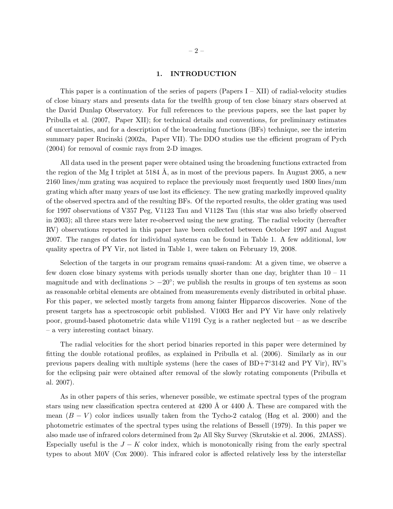This paper is a continuation of the series of papers  $(Papers I - XII)$  of radial-velocity studies of close binary stars and presents data for the twelfth group of ten close binary stars observed at the David Dunlap Observatory. For full references to the previous papers, see the last paper by Pribulla et al. (2007, Paper XII); for technical details and conventions, for preliminary estimates of uncertainties, and for a description of the broadening functions (BFs) technique, see the interim summary paper Rucinski (2002a, Paper VII). The DDO studies use the efficient program of Pych (2004) for removal of cosmic rays from 2-D images.

All data used in the present paper were obtained using the broadening functions extracted from the region of the Mg I triplet at 5184 Å, as in most of the previous papers. In August 2005, a new 2160 lines/mm grating was acquired to replace the previously most frequently used 1800 lines/mm grating which after many years of use lost its efficiency. The new grating markedly improved quality of the observed spectra and of the resulting BFs. Of the reported results, the older grating was used for 1997 observations of V357 Peg, V1123 Tau and V1128 Tau (this star was also briefly observed in 2003); all three stars were later re-observed using the new grating. The radial velocity (hereafter RV) observations reported in this paper have been collected between October 1997 and August 2007. The ranges of dates for individual systems can be found in Table 1. A few additional, low quality spectra of PY Vir, not listed in Table 1, were taken on February 19, 2008.

Selection of the targets in our program remains quasi-random: At a given time, we observe a few dozen close binary systems with periods usually shorter than one day, brighter than  $10 - 11$ magnitude and with declinations  $> -20^\circ$ ; we publish the results in groups of ten systems as soon as reasonable orbital elements are obtained from measurements evenly distributed in orbital phase. For this paper, we selected mostly targets from among fainter Hipparcos discoveries. None of the present targets has a spectroscopic orbit published. V1003 Her and PY Vir have only relatively poor, ground-based photometric data while V1191 Cyg is a rather neglected but – as we describe – a very interesting contact binary.

The radial velocities for the short period binaries reported in this paper were determined by fitting the double rotational profiles, as explained in Pribulla et al. (2006). Similarly as in our previous papers dealing with multiple systems (here the cases of BD+7◦3142 and PY Vir), RV's for the eclipsing pair were obtained after removal of the slowly rotating components (Pribulla et al. 2007).

As in other papers of this series, whenever possible, we estimate spectral types of the program stars using new classification spectra centered at  $4200 \text{ Å}$  or  $4400 \text{ Å}$ . These are compared with the mean  $(B - V)$  color indices usually taken from the Tycho-2 catalog (Høg et al. 2000) and the photometric estimates of the spectral types using the relations of Bessell (1979). In this paper we also made use of infrared colors determined from  $2\mu$  All Sky Survey (Skrutskie et al. 2006, 2MASS). Especially useful is the  $J - K$  color index, which is monotonically rising from the early spectral types to about M0V (Cox 2000). This infrared color is affected relatively less by the interstellar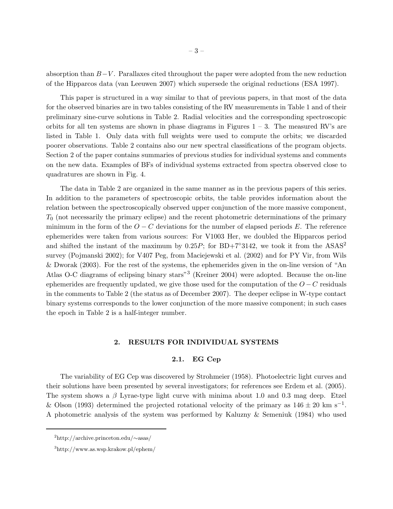absorption than  $B-V$ . Parallaxes cited throughout the paper were adopted from the new reduction of the Hipparcos data (van Leeuwen 2007) which supersede the original reductions (ESA 1997).

This paper is structured in a way similar to that of previous papers, in that most of the data for the observed binaries are in two tables consisting of the RV measurements in Table 1 and of their preliminary sine-curve solutions in Table 2. Radial velocities and the corresponding spectroscopic orbits for all ten systems are shown in phase diagrams in Figures  $1 - 3$ . The measured RV's are listed in Table 1. Only data with full weights were used to compute the orbits; we discarded poorer observations. Table 2 contains also our new spectral classifications of the program objects. Section 2 of the paper contains summaries of previous studies for individual systems and comments on the new data. Examples of BFs of individual systems extracted from spectra observed close to quadratures are shown in Fig. 4.

The data in Table 2 are organized in the same manner as in the previous papers of this series. In addition to the parameters of spectroscopic orbits, the table provides information about the relation between the spectroscopically observed upper conjunction of the more massive component,  $T_0$  (not necessarily the primary eclipse) and the recent photometric determinations of the primary minimum in the form of the  $O - C$  deviations for the number of elapsed periods E. The reference ephemerides were taken from various sources: For V1003 Her, we doubled the Hipparcos period and shifted the instant of the maximum by  $0.25P$ ; for BD+7<sup>°</sup>3142, we took it from the ASAS<sup>2</sup> survey (Pojmanski 2002); for V407 Peg, from Maciejewski et al. (2002) and for PY Vir, from Wils & Dworak (2003). For the rest of the systems, the ephemerides given in the on-line version of "An Atlas O-C diagrams of eclipsing binary stars"<sup>3</sup> (Kreiner 2004) were adopted. Because the on-line ephemerides are frequently updated, we give those used for the computation of the  $O - C$  residuals in the comments to Table 2 (the status as of December 2007). The deeper eclipse in W-type contact binary systems corresponds to the lower conjunction of the more massive component; in such cases the epoch in Table 2 is a half-integer number.

## **2.1. EG Cep**

The variability of EG Cep was discovered by Strohmeier (1958). Photoelectric light curves and their solutions have been presented by several investigators; for references see Erdem et al. (2005). The system shows a  $\beta$  Lyrae-type light curve with minima about 1.0 and 0.3 mag deep. Etzel & Olson (1993) determined the projected rotational velocity of the primary as  $146 \pm 20$  km s<sup>-1</sup>. A photometric analysis of the system was performed by Kaluzny & Semeniuk (1984) who used

<sup>2</sup>http://archive.princeton.edu/∼asas/

<sup>3</sup>http://www.as.wsp.krakow.pl/ephem/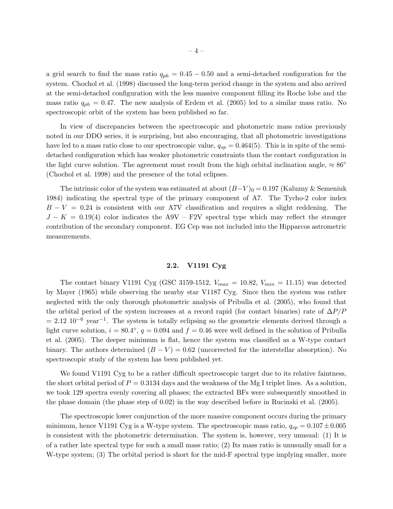a grid search to find the mass ratio  $q_{ph} = 0.45 - 0.50$  and a semi-detached configuration for the system. Chochol et al. (1998) discussed the long-term period change in the system and also arrived at the semi-detached configuration with the less massive component filling its Roche lobe and the mass ratio  $q_{ph} = 0.47$ . The new analysis of Erdem et al. (2005) led to a similar mass ratio. No spectroscopic orbit of the system has been published so far.

In view of discrepancies between the spectroscopic and photometric mass ratios previously noted in our DDO series, it is surprising, but also encouraging, that all photometric investigations have led to a mass ratio close to our spectroscopic value,  $q_{sp} = 0.464(5)$ . This is in spite of the semidetached configuration which has weaker photometric constraints than the contact configuration in the light curve solution. The agreement must result from the high orbital inclination angle,  $\approx 86^{\circ}$ (Chochol et al. 1998) and the presence of the total eclipses.

The intrinsic color of the system was estimated at about  $(B-V)_0 = 0.197$  (Kaluzny & Semeniuk 1984) indicating the spectral type of the primary component of A7. The Tycho-2 color index  $B - V = 0.24$  is consistent with our A7V classification and requires a slight reddening. The  $J - K = 0.19(4)$  color indicates the A9V – F2V spectral type which may reflect the stronger contribution of the secondary component. EG Cep was not included into the Hipparcos astrometric measurements.

# **2.2. V1191 Cyg**

The contact binary V1191 Cyg (GSC 3159-1512,  $V_{max} = 10.82$ ,  $V_{min} = 11.15$ ) was detected by Mayer (1965) while observing the nearby star V1187 Cyg. Since then the system was rather neglected with the only thorough photometric analysis of Pribulla et al. (2005), who found that the orbital period of the system increases at a record rapid (for contact binaries) rate of  $\Delta P/P$  $= 2.12 \, 10^{-6} \, \text{year}^{-1}$ . The system is totally eclipsing so the geometric elements derived through a light curve solution,  $i = 80.4^\circ$ ,  $q = 0.094$  and  $f = 0.46$  were well defined in the solution of Pribulla et al. (2005). The deeper minimum is flat, hence the system was classified as a W-type contact binary. The authors determined  $(B - V) = 0.62$  (uncorrected for the interstellar absorption). No spectroscopic study of the system has been published yet.

We found V1191 Cyg to be a rather difficult spectroscopic target due to its relative faintness, the short orbital period of  $P = 0.3134$  days and the weakness of the Mg I triplet lines. As a solution, we took 129 spectra evenly covering all phases; the extracted BFs were subsequently smoothed in the phase domain (the phase step of 0.02) in the way described before in Rucinski et al. (2005).

The spectroscopic lower conjunction of the more massive component occurs during the primary minimum, hence V1191 Cyg is a W-type system. The spectroscopic mass ratio,  $q_{sp} = 0.107 \pm 0.005$ is consistent with the photometric determination. The system is, however, very unusual: (1) It is of a rather late spectral type for such a small mass ratio; (2) Its mass ratio is unusually small for a W-type system; (3) The orbital period is short for the mid-F spectral type implying smaller, more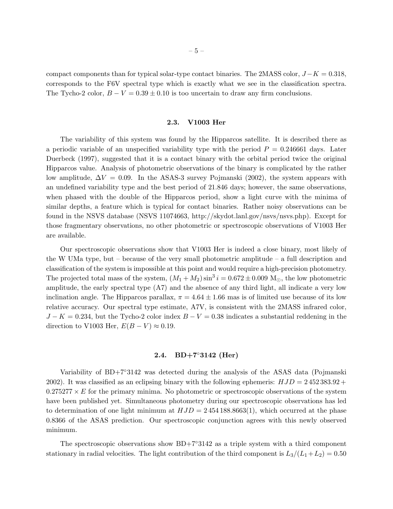compact components than for typical solar-type contact binaries. The 2MASS color,  $J - K = 0.318$ , corresponds to the F6V spectral type which is exactly what we see in the classification spectra. The Tycho-2 color,  $B - V = 0.39 \pm 0.10$  is too uncertain to draw any firm conclusions.

The variability of this system was found by the Hipparcos satellite. It is described there as a periodic variable of an unspecified variability type with the period  $P = 0.246661$  days. Later Duerbeck (1997), suggested that it is a contact binary with the orbital period twice the original Hipparcos value. Analysis of photometric observations of the binary is complicated by the rather low amplitude,  $\Delta V = 0.09$ . In the ASAS-3 survey Pojmanski (2002), the system appears with an undefined variability type and the best period of 21.846 days; however, the same observations, when phased with the double of the Hipparcos period, show a light curve with the minima of similar depths, a feature which is typical for contact binaries. Rather noisy observations can be found in the NSVS database (NSVS 11074663, http://skydot.lanl.gov/nsvs/nsvs.php). Except for those fragmentary observations, no other photometric or spectroscopic observations of V1003 Her are available.

Our spectroscopic observations show that V1003 Her is indeed a close binary, most likely of the W UMa type, but – because of the very small photometric amplitude – a full description and classification of the system is impossible at this point and would require a high-precision photometry. The projected total mass of the system,  $(M_1 + M_2) \sin^3 i = 0.672 \pm 0.009$  M<sub>o</sub>, the low photometric amplitude, the early spectral type (A7) and the absence of any third light, all indicate a very low inclination angle. The Hipparcos parallax,  $\pi = 4.64 \pm 1.66$  mas is of limited use because of its low relative accuracy. Our spectral type estimate, A7V, is consistent with the 2MASS infrared color,  $J - K = 0.234$ , but the Tycho-2 color index  $B - V = 0.38$  indicates a substantial reddening in the direction to V1003 Her,  $E(B - V) \approx 0.19$ .

## **2.4. BD+7**◦**3142 (Her)**

Variability of BD+7◦3142 was detected during the analysis of the ASAS data (Pojmanski 2002). It was classified as an eclipsing binary with the following ephemeris:  $HJD = 2\,452\,383.92 +$  $0.275277 \times E$  for the primary minima. No photometric or spectroscopic observations of the system have been published yet. Simultaneous photometry during our spectroscopic observations has led to determination of one light minimum at  $HJD = 2454188.8663(1)$ , which occurred at the phase 0.8366 of the ASAS prediction. Our spectroscopic conjunction agrees with this newly observed minimum.

The spectroscopic observations show  $BD+7°3142$  as a triple system with a third component stationary in radial velocities. The light contribution of the third component is  $L_3/(L_1+L_2)=0.50$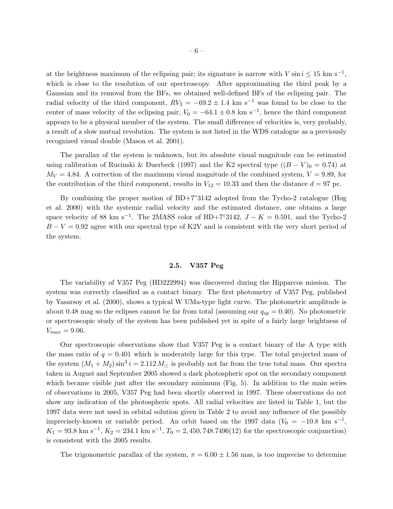at the brightness maximum of the eclipsing pair; its signature is narrow with  $V \sin i \leq 15$  km s<sup>-1</sup>, which is close to the resolution of our spectroscopy. After approximating the third peak by a Gaussian and its removal from the BFs, we obtained well-defined BFs of the eclipsing pair. The radial velocity of the third component,  $RV_3 = -69.2 \pm 1.4$  km s<sup>-1</sup> was found to be close to the center of mass velocity of the eclipsing pair,  $V_0 = -64.1 \pm 0.8$  km s<sup>-1</sup>, hence the third component appears to be a physical member of the system. The small difference of velocities is, very probably, a result of a slow mutual revolution. The system is not listed in the WDS catalogue as a previously recognized visual double (Mason et al. 2001).

The parallax of the system is unknown, but its absolute visual magnitude can be estimated using calibration of Rucinski & Duerbeck (1997) and the K2 spectral type  $((B - V)_0 = 0.74)$  at  $M_V = 4.84$ . A correction of the maximum visual magnitude of the combined system,  $V = 9.89$ , for the contribution of the third component, results in  $V_{12} = 10.33$  and then the distance  $d = 97$  pc.

By combining the proper motion of BD+7◦3142 adopted from the Tycho-2 catalogue (Høg et al. 2000) with the systemic radial velocity and the estimated distance, one obtains a large space velocity of 88 km s<sup>-1</sup>. The 2MASS color of BD+7°3142,  $J - K = 0.591$ , and the Tycho-2  $B - V = 0.92$  agree with our spectral type of K2V and is consistent with the very short period of the system.

## **2.5. V357 Peg**

The variability of V357 Peg (HD222994) was discovered during the Hipparcos mission. The system was correctly classified as a contact binary. The first photometry of V357 Peg, published by Yasarsoy et al. (2000), shows a typical W UMa-type light curve. The photometric amplitude is about 0.48 mag so the eclipses cannot be far from total (assuming our  $q_{sp} = 0.40$ ). No photometric or spectroscopic study of the system has been published yet in spite of a fairly large brightness of  $V_{max} = 9.06$ .

Our spectroscopic observations show that V357 Peg is a contact binary of the A type with the mass ratio of  $q = 0.401$  which is moderately large for this type. The total projected mass of the system  $(M_1 + M_2) \sin^3 i = 2.112 M_{\odot}$  is probably not far from the true total mass. Our spectra taken in August and September 2005 showed a dark photospheric spot on the secondary component which became visible just after the secondary minimum (Fig. 5). In addition to the main series of observations in 2005, V357 Peg had been shortly observed in 1997. These observations do not show any indication of the photospheric spots. All radial velocities are listed in Table 1, but the 1997 data were not used in orbital solution given in Table 2 to avoid any influence of the possibly imprecisely-known or variable period. An orbit based on the 1997 data ( $V_0 = -10.8$  km s<sup>-1</sup>,  $K_1 = 93.8$  km s<sup>-1</sup>,  $K_2 = 234.1$  km s<sup>-1</sup>,  $T_0 = 2,450,748.7496(12)$  for the spectroscopic conjunction) is consistent with the 2005 results.

The trigonometric parallax of the system,  $\pi = 6.00 \pm 1.56$  mas, is too imprecise to determine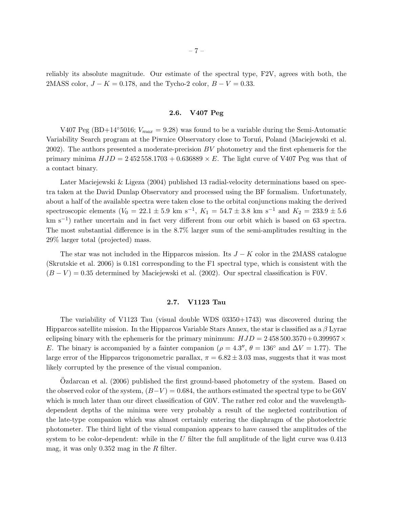reliably its absolute magnitude. Our estimate of the spectral type, F2V, agrees with both, the 2MASS color,  $J - K = 0.178$ , and the Tycho-2 color,  $B - V = 0.33$ .

## **2.6. V407 Peg**

V407 Peg (BD+14°5016;  $V_{max} = 9.28$ ) was found to be a variable during the Semi-Automatic Variability Search program at the Piwnice Observatory close to Torun<sup>,</sup> Poland (Maciejewski et al. 2002). The authors presented a moderate-precision  $BV$  photometry and the first ephemeris for the primary minima  $HJD = 2\,452\,558.1703 + 0.636889 \times E$ . The light curve of V407 Peg was that of a contact binary.

Later Maciejewski & Ligeza (2004) published 13 radial-velocity determinations based on spectra taken at the David Dunlap Observatory and processed using the BF formalism. Unfortunately, about a half of the available spectra were taken close to the orbital conjunctions making the derived spectroscopic elements ( $V_0 = 22.1 \pm 5.9$  km s<sup>-1</sup>,  $K_1 = 54.7 \pm 3.8$  km s<sup>-1</sup> and  $K_2 = 233.9 \pm 5.6$ km s<sup>-1</sup>) rather uncertain and in fact very different from our orbit which is based on 63 spectra. The most substantial difference is in the 8.7% larger sum of the semi-amplitudes resulting in the 29% larger total (projected) mass.

The star was not included in the Hipparcos mission. Its  $J - K$  color in the 2MASS catalogue (Skrutskie et al. 2006) is 0.181 corresponding to the F1 spectral type, which is consistent with the  $(B - V) = 0.35$  determined by Maciejewski et al. (2002). Our spectral classification is F0V.

The variability of V1123 Tau (visual double WDS 03350+1743) was discovered during the Hipparcos satellite mission. In the Hipparcos Variable Stars Annex, the star is classified as a  $\beta$  Lyrae eclipsing binary with the ephemeris for the primary minimum:  $HJD = 2458500.3570 + 0.399957 \times$ E. The binary is accompanied by a fainter companion ( $\rho = 4.3''$ ,  $\theta = 136°$  and  $\Delta V = 1.77$ ). The large error of the Hipparcos trigonometric parallax,  $\pi = 6.82 \pm 3.03$  mas, suggests that it was most likely corrupted by the presence of the visual companion.

Ozdarcan et al. (2006) published the first ground-based photometry of the system. Based on the observed color of the system,  $(B-V) = 0.684$ , the authors estimated the spectral type to be G6V which is much later than our direct classification of GOV. The rather red color and the wavelengthdependent depths of the minima were very probably a result of the neglected contribution of the late-type companion which was almost certainly entering the diaphragm of the photoelectric photometer. The third light of the visual companion appears to have caused the amplitudes of the system to be color-dependent: while in the U filter the full amplitude of the light curve was  $0.413$ mag, it was only  $0.352$  mag in the R filter.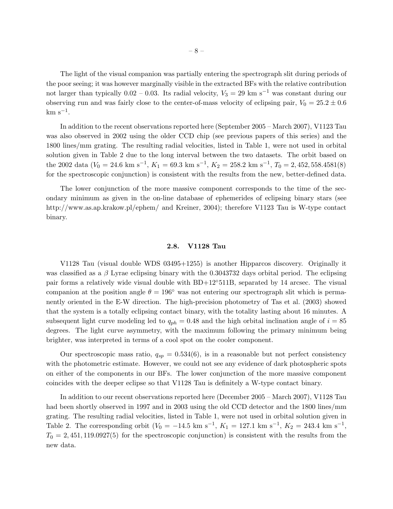The light of the visual companion was partially entering the spectrograph slit during periods of the poor seeing; it was however marginally visible in the extracted BFs with the relative contribution not larger than typically 0.02 – 0.03. Its radial velocity,  $V_3 = 29 \text{ km s}^{-1}$  was constant during our observing run and was fairly close to the center-of-mass velocity of eclipsing pair,  $V_0 = 25.2 \pm 0.6$  $km s^{-1}$ .

In addition to the recent observations reported here (September 2005 – March 2007), V1123 Tau was also observed in 2002 using the older CCD chip (see previous papers of this series) and the 1800 lines/mm grating. The resulting radial velocities, listed in Table 1, were not used in orbital solution given in Table 2 due to the long interval between the two datasets. The orbit based on the 2002 data ( $V_0 = 24.6$  km s<sup>-1</sup>,  $K_1 = 69.3$  km s<sup>-1</sup>,  $K_2 = 258.2$  km s<sup>-1</sup>,  $T_0 = 2,452,558.4581(8)$ for the spectroscopic conjunction) is consistent with the results from the new, better-defined data.

The lower conjunction of the more massive component corresponds to the time of the secondary minimum as given in the on-line database of ephemerides of eclipsing binary stars (see http://www.as.ap.krakow.pl/ephem/ and Kreiner, 2004); therefore V1123 Tau is W-type contact binary.

V1128 Tau (visual double WDS 03495+1255) is another Hipparcos discovery. Originally it was classified as a  $\beta$  Lyrae eclipsing binary with the 0.3043732 days orbital period. The eclipsing pair forms a relatively wide visual double with BD+12◦511B, separated by 14 arcsec. The visual companion at the position angle  $\theta = 196°$  was not entering our spectrograph slit which is permanently oriented in the E-W direction. The high-precision photometry of Tas et al. (2003) showed that the system is a totally eclipsing contact binary, with the totality lasting about 16 minutes. A subsequent light curve modeling led to  $q_{ph} = 0.48$  and the high orbital inclination angle of  $i = 85$ degrees. The light curve asymmetry, with the maximum following the primary minimum being brighter, was interpreted in terms of a cool spot on the cooler component.

Our spectroscopic mass ratio,  $q_{sp} = 0.534(6)$ , is in a reasonable but not perfect consistency with the photometric estimate. However, we could not see any evidence of dark photospheric spots on either of the components in our BFs. The lower conjunction of the more massive component coincides with the deeper eclipse so that V1128 Tau is definitely a W-type contact binary.

In addition to our recent observations reported here (December 2005 – March 2007), V1128 Tau had been shortly observed in 1997 and in 2003 using the old CCD detector and the 1800 lines/mm grating. The resulting radial velocities, listed in Table 1, were not used in orbital solution given in Table 2. The corresponding orbit  $(V_0 = -14.5 \text{ km s}^{-1}, K_1 = 127.1 \text{ km s}^{-1}, K_2 = 243.4 \text{ km s}^{-1},$  $T_0 = 2,451,119.0927(5)$  for the spectroscopic conjunction) is consistent with the results from the new data.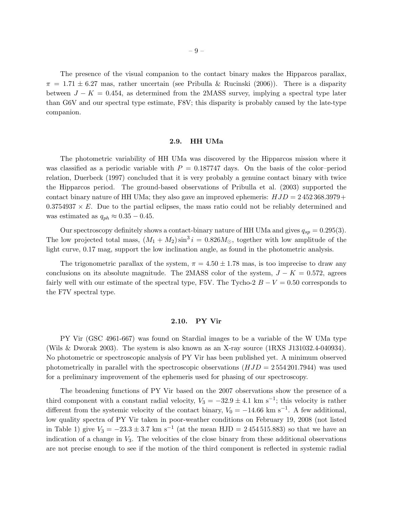The presence of the visual companion to the contact binary makes the Hipparcos parallax,  $\pi = 1.71 \pm 6.27$  mas, rather uncertain (see Pribulla & Rucinski (2006)). There is a disparity between  $J - K = 0.454$ , as determined from the 2MASS survey, implying a spectral type later than G6V and our spectral type estimate, F8V; this disparity is probably caused by the late-type companion.

The photometric variability of HH UMa was discovered by the Hipparcos mission where it was classified as a periodic variable with  $P = 0.187747$  days. On the basis of the color-period relation, Duerbeck (1997) concluded that it is very probably a genuine contact binary with twice the Hipparcos period. The ground-based observations of Pribulla et al. (2003) supported the contact binary nature of HH UMa; they also gave an improved ephemeris:  $HJD = 2\,452\,368.3979 +$  $0.3754937 \times E$ . Due to the partial eclipses, the mass ratio could not be reliably determined and was estimated as  $q_{ph} \approx 0.35 - 0.45$ .

Our spectroscopy definitely shows a contact-binary nature of HH UMa and gives  $q_{sp} = 0.295(3)$ . The low projected total mass,  $(M_1 + M_2) \sin^3 i = 0.826 M_{\odot}$ , together with low amplitude of the light curve, 0.17 mag, support the low inclination angle, as found in the photometric analysis.

The trigonometric parallax of the system,  $\pi = 4.50 \pm 1.78$  mas, is too imprecise to draw any conclusions on its absolute magnitude. The 2MASS color of the system,  $J - K = 0.572$ , agrees fairly well with our estimate of the spectral type, F5V. The Tycho-2  $B - V = 0.50$  corresponds to the F7V spectral type.

PY Vir (GSC 4961-667) was found on Stardial images to be a variable of the W UMa type (Wils & Dworak 2003). The system is also known as an X-ray source (1RXS J131032.4-040934). No photometric or spectroscopic analysis of PY Vir has been published yet. A minimum observed photometrically in parallel with the spectroscopic observations  $(HJD = 2554201.7944)$  was used for a preliminary improvement of the ephemeris used for phasing of our spectroscopy.

The broadening functions of PY Vir based on the 2007 observations show the presence of a third component with a constant radial velocity,  $V_3 = -32.9 \pm 4.1$  km s<sup>-1</sup>; this velocity is rather different from the systemic velocity of the contact binary,  $V_0 = -14.66$  km s<sup>-1</sup>. A few additional, low quality spectra of PY Vir taken in poor-weather conditions on February 19, 2008 (not listed in Table 1) give  $V_3 = -23.3 \pm 3.7$  km s<sup>-1</sup> (at the mean HJD = 2454515.883) so that we have an indication of a change in  $V_3$ . The velocities of the close binary from these additional observations are not precise enough to see if the motion of the third component is reflected in systemic radial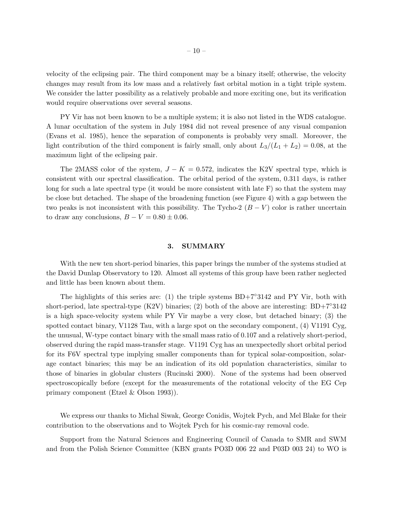velocity of the eclipsing pair. The third component may be a binary itself; otherwise, the velocity changes may result from its low mass and a relatively fast orbital motion in a tight triple system. We consider the latter possibility as a relatively probable and more exciting one, but its verification would require observations over several seasons.

PY Vir has not been known to be a multiple system; it is also not listed in the WDS catalogue. A lunar occultation of the system in July 1984 did not reveal presence of any visual companion (Evans et al. 1985), hence the separation of components is probably very small. Moreover, the light contribution of the third component is fairly small, only about  $L_3/(L_1 + L_2) = 0.08$ , at the maximum light of the eclipsing pair.

The 2MASS color of the system,  $J - K = 0.572$ , indicates the K2V spectral type, which is consistent with our spectral classification. The orbital period of the system, 0.311 days, is rather long for such a late spectral type (it would be more consistent with late  $F$ ) so that the system may be close but detached. The shape of the broadening function (see Figure 4) with a gap between the two peaks is not inconsistent with this possibility. The Tycho-2  $(B - V)$  color is rather uncertain to draw any conclusions,  $B - V = 0.80 \pm 0.06$ .

With the new ten short-period binaries, this paper brings the number of the systems studied at the David Dunlap Observatory to 120. Almost all systems of this group have been rather neglected and little has been known about them.

The highlights of this series are: (1) the triple systems  $BD+7°3142$  and PY Vir, both with short-period, late spectral-type (K2V) binaries; (2) both of the above are interesting:  $BD+7°3142$ is a high space-velocity system while PY Vir maybe a very close, but detached binary; (3) the spotted contact binary, V1128 Tau, with a large spot on the secondary component, (4) V1191 Cyg, the unusual, W-type contact binary with the small mass ratio of 0.107 and a relatively short-period, observed during the rapid mass-transfer stage. V1191 Cyg has an unexpectedly short orbital period for its F6V spectral type implying smaller components than for typical solar-composition, solarage contact binaries; this may be an indication of its old population characteristics, similar to those of binaries in globular clusters (Rucinski 2000). None of the systems had been observed spectroscopically before (except for the measurements of the rotational velocity of the EG Cep primary component (Etzel & Olson 1993)).

We express our thanks to Michal Siwak, George Conidis, Wojtek Pych, and Mel Blake for their contribution to the observations and to Wojtek Pych for his cosmic-ray removal code.

Support from the Natural Sciences and Engineering Council of Canada to SMR and SWM and from the Polish Science Committee (KBN grants PO3D 006 22 and P03D 003 24) to WO is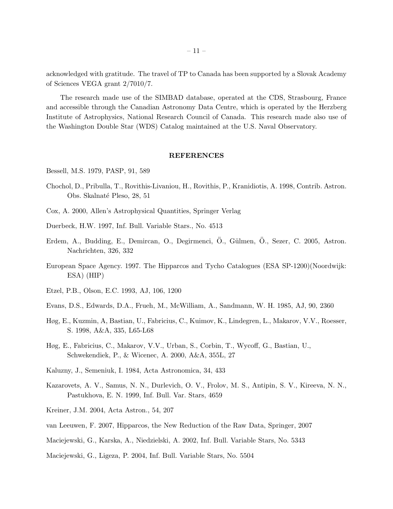acknowledged with gratitude. The travel of TP to Canada has been supported by a Slovak Academy of Sciences VEGA grant 2/7010/7.

The research made use of the SIMBAD database, operated at the CDS, Strasbourg, France and accessible through the Canadian Astronomy Data Centre, which is operated by the Herzberg Institute of Astrophysics, National Research Council of Canada. This research made also use of the Washington Double Star (WDS) Catalog maintained at the U.S. Naval Observatory.

Bessell, M.S. 1979, PASP, 91, 589

- Chochol, D., Pribulla, T., Rovithis-Livaniou, H., Rovithis, P., Kranidiotis, A. 1998, Contrib. Astron. Obs. Skalnaté Pleso, 28, 51
- Cox, A. 2000, Allen's Astrophysical Quantities, Springer Verlag
- Duerbeck, H.W. 1997, Inf. Bull. Variable Stars., No. 4513
- Erdem, A., Budding, E., Demircan, O., Degirmenci, Ö., Gülmen, Ö., Sezer, C. 2005, Astron. Nachrichten, 326, 332
- European Space Agency. 1997. The Hipparcos and Tycho Catalogues (ESA SP-1200)(Noordwijk: ESA) (HIP)
- Etzel, P.B., Olson, E.C. 1993, AJ, 106, 1200
- Evans, D.S., Edwards, D.A., Frueh, M., McWilliam, A., Sandmann, W. H. 1985, AJ, 90, 2360
- Høg, E., Kuzmin, A, Bastian, U., Fabricius, C., Kuimov, K., Lindegren, L., Makarov, V.V., Roesser, S. 1998, A&A, 335, L65-L68
- Høg, E., Fabricius, C., Makarov, V.V., Urban, S., Corbin, T., Wycoff, G., Bastian, U., Schwekendiek, P., & Wicenec, A. 2000, A&A, 355L, 27
- Kaluzny, J., Semeniuk, I. 1984, Acta Astronomica, 34, 433
- Kazarovets, A. V., Samus, N. N., Durlevich, O. V., Frolov, M. S., Antipin, S. V., Kireeva, N. N., Pastukhova, E. N. 1999, Inf. Bull. Var. Stars, 4659
- Kreiner, J.M. 2004, Acta Astron., 54, 207
- van Leeuwen, F. 2007, Hipparcos, the New Reduction of the Raw Data, Springer, 2007
- Maciejewski, G., Karska, A., Niedzielski, A. 2002, Inf. Bull. Variable Stars, No. 5343
- Maciejewski, G., Ligeza, P. 2004, Inf. Bull. Variable Stars, No. 5504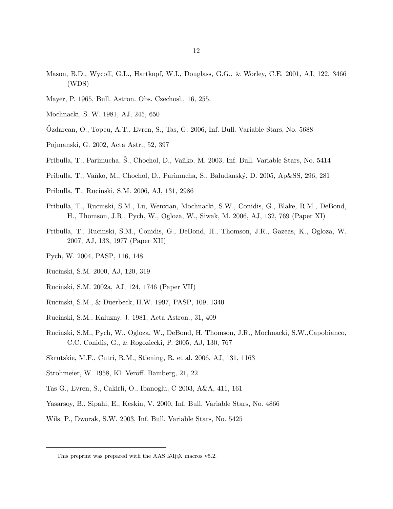- Mason, B.D., Wycoff, G.L., Hartkopf, W.I., Douglass, G.G., & Worley, C.E. 2001, AJ, 122, 3466 (WDS)
- Mayer, P. 1965, Bull. Astron. Obs. Czechosl., 16, 255.
- Mochnacki, S. W. 1981, AJ, 245, 650
- Ozdarcan, O., Topcu, A.T., Evren, S., Tas, G. 2006, Inf. Bull. Variable Stars, No. 5688 ¨
- Pojmanski, G. 2002, Acta Astr., 52, 397
- Pribulla, T., Parimucha, S., Chochol, D., Vaňko, M. 2003, Inf. Bull. Variable Stars, No. 5414
- Pribulla, T., Vaňko, M., Chochol, D., Parimucha, Š., Baludanský, D. 2005, Ap&SS, 296, 281
- Pribulla, T., Rucinski, S.M. 2006, AJ, 131, 2986
- Pribulla, T., Rucinski, S.M., Lu, Wenxian, Mochnacki, S.W., Conidis, G., Blake, R.M., DeBond, H., Thomson, J.R., Pych, W., Ogloza, W., Siwak, M. 2006, AJ, 132, 769 (Paper XI)
- Pribulla, T., Rucinski, S.M., Conidis, G., DeBond, H., Thomson, J.R., Gazeas, K., Ogloza, W. 2007, AJ, 133, 1977 (Paper XII)
- Pych, W. 2004, PASP, 116, 148
- Rucinski, S.M. 2000, AJ, 120, 319
- Rucinski, S.M. 2002a, AJ, 124, 1746 (Paper VII)
- Rucinski, S.M., & Duerbeck, H.W. 1997, PASP, 109, 1340
- Rucinski, S.M., Kaluzny, J. 1981, Acta Astron., 31, 409
- Rucinski, S.M., Pych, W., Ogloza, W., DeBond, H. Thomson, J.R., Mochnacki, S.W.,Capobianco, C.C. Conidis, G., & Rogoziecki, P. 2005, AJ, 130, 767
- Skrutskie, M.F., Cutri, R.M., Stiening, R. et al. 2006, AJ, 131, 1163
- Strohmeier, W. 1958, Kl. Veröff. Bamberg, 21, 22
- Tas G., Evren, S., Cakirli, O., Ibanoglu, C 2003, A&A, 411, 161
- Yasarsoy, B., Sipahi, E., Keskin, V. 2000, Inf. Bull. Variable Stars, No. 4866
- Wils, P., Dworak, S.W. 2003, Inf. Bull. Variable Stars, No. 5425

This preprint was prepared with the AAS IATEX macros v5.2.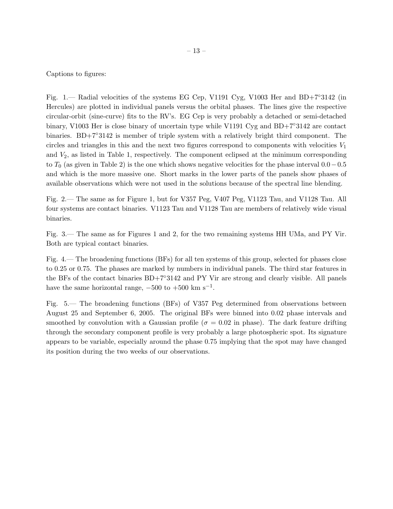Captions to figures:

Fig. 1.— Radial velocities of the systems EG Cep, V1191 Cyg, V1003 Her and BD+7◦3142 (in Hercules) are plotted in individual panels versus the orbital phases. The lines give the respective circular-orbit (sine-curve) fits to the RV's. EG Cep is very probably a detached or semi-detached binary, V1003 Her is close binary of uncertain type while V1191 Cyg and BD+7◦3142 are contact binaries. BD+7◦3142 is member of triple system with a relatively bright third component. The circles and triangles in this and the next two figures correspond to components with velocities  $V_1$ and  $V_2$ , as listed in Table 1, respectively. The component eclipsed at the minimum corresponding to  $T_0$  (as given in Table 2) is the one which shows negative velocities for the phase interval  $0.0-0.5$ and which is the more massive one. Short marks in the lower parts of the panels show phases of available observations which were not used in the solutions because of the spectral line blending.

Fig. 2.— The same as for Figure 1, but for V357 Peg, V407 Peg, V1123 Tau, and V1128 Tau. All four systems are contact binaries. V1123 Tau and V1128 Tau are members of relatively wide visual binaries.

Fig. 3.— The same as for Figures 1 and 2, for the two remaining systems HH UMa, and PY Vir. Both are typical contact binaries.

Fig. 4.— The broadening functions (BFs) for all ten systems of this group, selected for phases close to 0.25 or 0.75. The phases are marked by numbers in individual panels. The third star features in the BFs of the contact binaries BD+7◦3142 and PY Vir are strong and clearly visible. All panels have the same horizontal range,  $-500$  to  $+500$  km s<sup>-1</sup>.

Fig. 5.— The broadening functions (BFs) of V357 Peg determined from observations between August 25 and September 6, 2005. The original BFs were binned into 0.02 phase intervals and smoothed by convolution with a Gaussian profile ( $\sigma = 0.02$  in phase). The dark feature drifting through the secondary component profile is very probably a large photospheric spot. Its signature appears to be variable, especially around the phase 0.75 implying that the spot may have changed its position during the two weeks of our observations.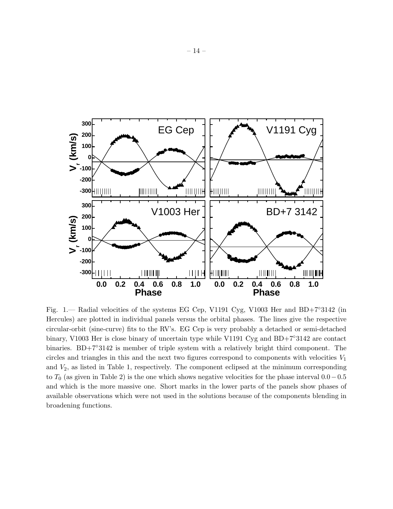

Fig. 1.— Radial velocities of the systems EG Cep, V1191 Cyg, V1003 Her and BD+7◦3142 (in Hercules) are plotted in individual panels versus the orbital phases. The lines give the respective circular-orbit (sine-curve) fits to the RV's. EG Cep is very probably a detached or semi-detached binary, V1003 Her is close binary of uncertain type while V1191 Cyg and BD+7◦3142 are contact binaries. BD+7◦3142 is member of triple system with a relatively bright third component. The circles and triangles in this and the next two figures correspond to components with velocities  $V_1$ and  $V_2$ , as listed in Table 1, respectively. The component eclipsed at the minimum corresponding to  $T_0$  (as given in Table 2) is the one which shows negative velocities for the phase interval  $0.0-0.5$ and which is the more massive one. Short marks in the lower parts of the panels show phases of available observations which were not used in the solutions because of the components blending in broadening functions.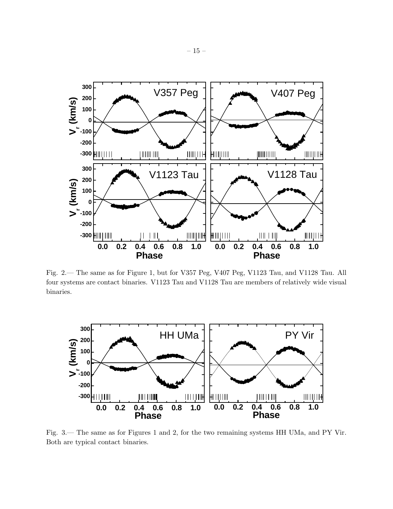

Fig. 2.— The same as for Figure 1, but for V357 Peg, V407 Peg, V1123 Tau, and V1128 Tau. All four systems are contact binaries. V1123 Tau and V1128 Tau are members of relatively wide visual binaries.



Fig. 3.— The same as for Figures 1 and 2, for the two remaining systems HH UMa, and PY Vir. Both are typical contact binaries.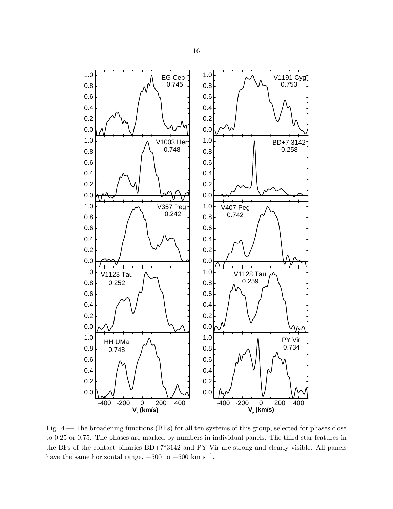

Fig. 4.— The broadening functions (BFs) for all ten systems of this group, selected for phases close to 0.25 or 0.75. The phases are marked by numbers in individual panels. The third star features in the BFs of the contact binaries BD+7◦3142 and PY Vir are strong and clearly visible. All panels have the same horizontal range,  $-500$  to  $+500$  km s<sup>-1</sup>.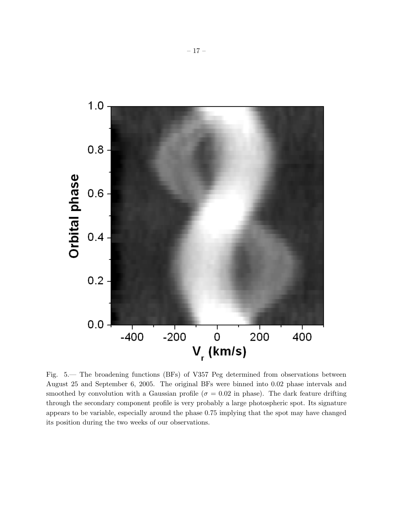

Fig. 5.— The broadening functions (BFs) of V357 Peg determined from observations between August 25 and September 6, 2005. The original BFs were binned into 0.02 phase intervals and smoothed by convolution with a Gaussian profile ( $\sigma = 0.02$  in phase). The dark feature drifting through the secondary component profile is very probably a large photospheric spot. Its signature appears to be variable, especially around the phase 0.75 implying that the spot may have changed its position during the two weeks of our observations.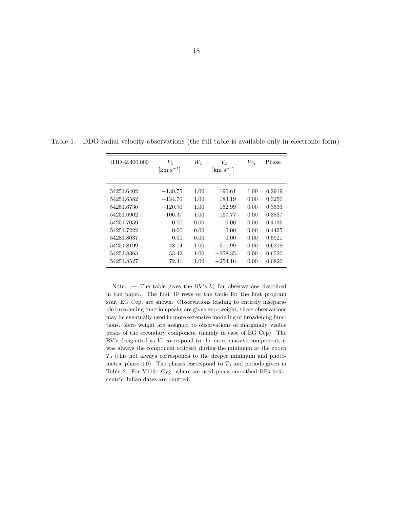| $HJD-2,400,000$ | V1<br>$\mathrm{[km\;s^{-1}]}$ | $W_1$ | $V_2$<br>$\mathrm{[km\ s^{-1}]}$ | W,   | Phase  |
|-----------------|-------------------------------|-------|----------------------------------|------|--------|
| 54251.6402      | $-139.75$                     | 1.00  | 190.61                           | 1.00 | 0.2919 |
| 54251.6582      | $-134.70$                     | 1.00  | 183.19                           | 0.00 | 0.3250 |
| 54251.6736      | $-120.90$                     | 1.00  | 162.99                           | 0.00 | 0.3533 |
| 54251.6902      | $-106.37$                     | 1.00  | 167.77                           | 0.00 | 0.3837 |
| 54251.7059      | 0.00                          | 0.00  | 0.00                             | 0.00 | 0.4126 |
| 54251.7222      | 0.00                          | 0.00  | 0.00                             | 0.00 | 0.4425 |
| 54251.8037      | 0.00                          | 0.00  | 0.00                             | 0.00 | 0.5921 |
| 54251.8199      | 48.14                         | 1.00  | $-211.99$                        | 0.00 | 0.6218 |
| 54251.8363      | 53.42                         | 1.00  | $-258.35$                        | 0.00 | 0.6520 |
| 54251.8527      | 72.41                         | 1.00  | $-254.16$                        | 0.00 | 0.6820 |

Table 1. DDO radial velocity observations (the full table is available only in electronic form)

Note.  $\blacksquare$  The table gives the RV's  $V_i$  for observations described in the paper. The first 10 rows of the table for the first program star, EG Cep, are shown. Observations leading to entirely inseparable broadening function peaks are given zero weight; these observations may be eventually used in more extensive modeling of broadening functions. Zero weight are assigned to observations of marginally visible peaks of the secondary component (mainly in case of EG Cep). The RV's designated as *V*<sup>1</sup> correspond to the more massive component; it was always the component eclipsed during the minimum at the epoch *T*<sup>0</sup> (this not always corresponds to the deeper minimum and photometric phase 0.0). The phases correspond to  $T_0$  and periods given in Table 2. For V1191 Cyg, where we used phase-smoothed BFs heliocentric Julian dates are omitted.